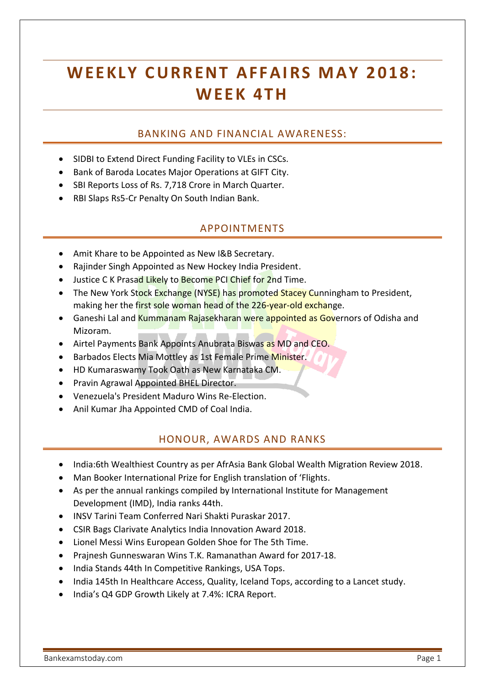# WEEKLY CURRENT AFFAIRS MAY 2018: **W EEK 4 T H**

# BANKING AND FINANCIAL AWARENESS:

- SIDBI to Extend Direct Funding Facility to VLEs in CSCs.
- Bank of Baroda Locates Major Operations at GIFT City.
- SBI Reports Loss of Rs. 7,718 Crore in March Quarter.
- RBI Slaps Rs5-Cr Penalty On South Indian Bank.

#### APPOINTMENTS

- Amit Khare to be Appointed as New I&B Secretary.
- Rajinder Singh Appointed as New Hockey India President.
- Justice C K Prasad Likely to Become PCI Chief for 2nd Time.
- The New York Stock Exchange (NYSE) has promoted Stacey Cunningham to President, making her the first sole woman head of the 226-year-old exchange.
- Ganeshi Lal and Kummanam Rajasekharan were appointed as Governors of Odisha and Mizoram.
- Airtel Payments Bank Appoints Anubrata Biswas as MD and CEO.
- Barbados Elects Mia Mottley as 1st Female Prime Minister.
- HD Kumaraswamy Took Oath as New Karnataka CM.
- Pravin Agrawal Appointed BHEL Director.
- Venezuela's President Maduro Wins Re-Election.
- Anil Kumar Jha Appointed CMD of Coal India.

#### HONOUR, AWARDS AND RANKS

- India:6th Wealthiest Country as per AfrAsia Bank Global Wealth Migration Review 2018.
- Man Booker International Prize for English translation of 'Flights.
- As per the annual rankings compiled by International Institute for Management Development (IMD), India ranks 44th.
- INSV Tarini Team Conferred Nari Shakti Puraskar 2017.
- CSIR Bags Clarivate Analytics India Innovation Award 2018.
- Lionel Messi Wins European Golden Shoe for The 5th Time.
- Prainesh Gunneswaran Wins T.K. Ramanathan Award for 2017-18.
- India Stands 44th In Competitive Rankings, USA Tops.
- India 145th In Healthcare Access, Quality, Iceland Tops, according to a Lancet study.
- India's Q4 GDP Growth Likely at 7.4%: ICRA Report.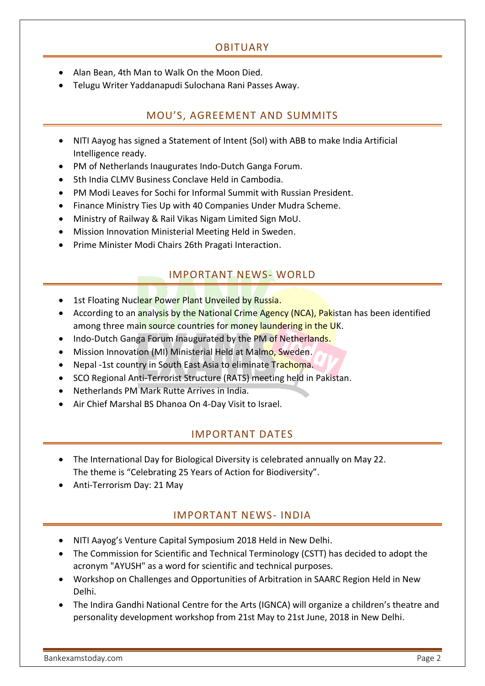# OBITUARY

- Alan Bean, 4th Man to Walk On the Moon Died.
- Telugu Writer Yaddanapudi Sulochana Rani Passes Away.

# MOU'S, AGREEMENT AND SUMMITS

- NITI Aayog has signed a Statement of Intent (SoI) with ABB to make India Artificial Intelligence ready.
- PM of Netherlands Inaugurates Indo-Dutch Ganga Forum.
- 5th India CLMV Business Conclave Held in Cambodia.
- PM Modi Leaves for Sochi for Informal Summit with Russian President.
- Finance Ministry Ties Up with 40 Companies Under Mudra Scheme.
- Ministry of Railway & Rail Vikas Nigam Limited Sign MoU.
- Mission Innovation Ministerial Meeting Held in Sweden.
- Prime Minister Modi Chairs 26th Pragati Interaction.

# IMPORTANT NEWS- WORLD

- 1st Floating Nuclear Power Plant Unveiled by Russia.
- According to an analysis by the National Crime Agency (NCA), Pakistan has been identified among three main source countries for money laundering in the UK.
- Indo-Dutch Ganga Forum Inaugurated by the PM of Netherlands.
- Mission Innovation (MI) Ministerial Held at Malmo, Sweden.
- Nepal -1st country in South East Asia to eliminate Trachoma.
- SCO Regional Anti-Terrorist Structure (RATS) meeting held in Pakistan.
- Netherlands PM Mark Rutte Arrives in India.
- Air Chief Marshal BS Dhanoa On 4-Day Visit to Israel.

#### IMPORTANT DATES

- The International Day for Biological Diversity is celebrated annually on May 22. The theme is "Celebrating 25 Years of Action for Biodiversity".
- Anti-Terrorism Day: 21 May

# IMPORTANT NEWS- INDIA

- NITI Aayog's Venture Capital Symposium 2018 Held in New Delhi.
- The Commission for Scientific and Technical Terminology (CSTT) has decided to adopt the acronym "AYUSH" as a word for scientific and technical purposes.
- Workshop on Challenges and Opportunities of Arbitration in SAARC Region Held in New Delhi.
- The Indira Gandhi National Centre for the Arts (IGNCA) will organize a children's theatre and personality development workshop from 21st May to 21st June, 2018 in New Delhi.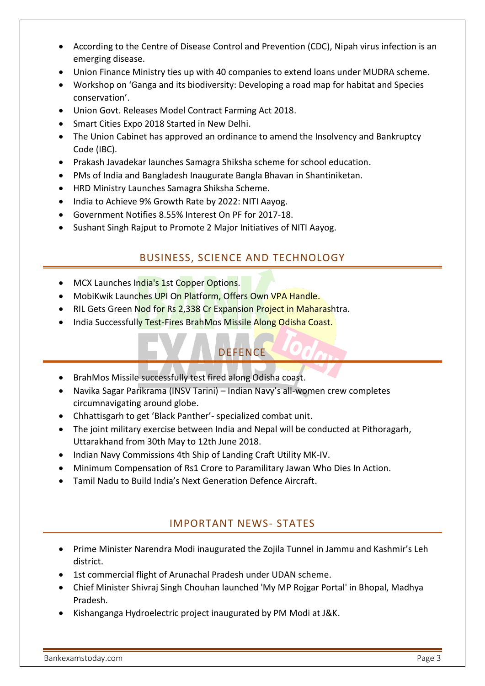- According to the Centre of Disease Control and Prevention (CDC), Nipah virus infection is an emerging disease.
- Union Finance Ministry ties up with 40 companies to extend loans under MUDRA scheme.
- Workshop on 'Ganga and its biodiversity: Developing a road map for habitat and Species conservation'.
- Union Govt. Releases Model Contract Farming Act 2018.
- Smart Cities Expo 2018 Started in New Delhi.
- The Union Cabinet has approved an ordinance to amend the Insolvency and Bankruptcy Code (IBC).
- Prakash Javadekar launches Samagra Shiksha scheme for school education.
- PMs of India and Bangladesh Inaugurate Bangla Bhavan in Shantiniketan.
- HRD Ministry Launches Samagra Shiksha Scheme.
- India to Achieve 9% Growth Rate by 2022: NITI Aayog.
- Government Notifies 8.55% Interest On PF for 2017-18.
- Sushant Singh Rajput to Promote 2 Major Initiatives of NITI Aavog.

# BUSINESS, SCIENCE AND TECHNOLOGY

- MCX Launches India's 1st Copper Options.
- MobiKwik Launches UPI On Platform, Offers Own VPA Handle.
- RIL Gets Green Nod for Rs 2,338 Cr Expansion Project in Maharashtra.
- India Successfully Test-Fires BrahMos Missile Along Odisha Coast.

# **DEFENCE**

- BrahMos Missile successfully test fired along Odisha coast.
- Navika Sagar Parikrama (INSV Tarini) Indian Navy's all-women crew completes circumnavigating around globe.
- Chhattisgarh to get 'Black Panther'- specialized combat unit.
- The joint military exercise between India and Nepal will be conducted at Pithoragarh, Uttarakhand from 30th May to 12th June 2018.
- Indian Navy Commissions 4th Ship of Landing Craft Utility MK-IV.
- Minimum Compensation of Rs1 Crore to Paramilitary Jawan Who Dies In Action.
- Tamil Nadu to Build India's Next Generation Defence Aircraft.

# IMPORTANT NEWS- STATES

- Prime Minister Narendra Modi inaugurated the Zojila Tunnel in Jammu and Kashmir's Leh district.
- 1st commercial flight of Arunachal Pradesh under UDAN scheme.
- Chief Minister Shivraj Singh Chouhan launched 'My MP Rojgar Portal' in Bhopal, Madhya Pradesh.
- Kishanganga Hydroelectric project inaugurated by PM Modi at J&K.